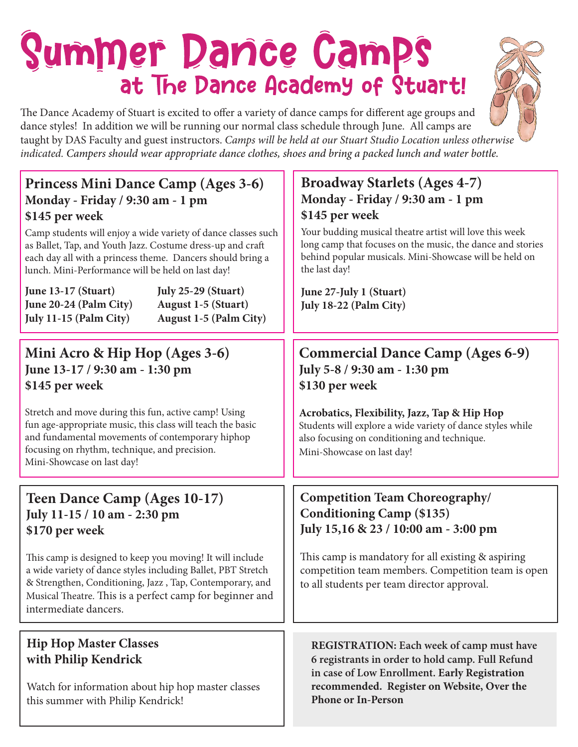# Summer Dance Camps at The Dance Academy of Stuart!

The Dance Academy of Stuart is excited to offer a variety of dance camps for different age groups and dance styles! In addition we will be running our normal class schedule through June. All camps are taught by DAS Faculty and guest instructors. *Camps will be held at our Stuart Studio Location unless otherwise indicated. Campers should wear appropriate dance clothes, shoes and bring a packed lunch and water bottle.*

# **Princess Mini Dance Camp (Ages 3-6) Monday - Friday / 9:30 am - 1 pm \$145 per week**

Camp students will enjoy a wide variety of dance classes such as Ballet, Tap, and Youth Jazz. Costume dress-up and craft each day all with a princess theme. Dancers should bring a lunch. Mini-Performance will be held on last day!

| June $13-17$ (Stuart)  | <b>July 25-29 (Stuart)</b>    |
|------------------------|-------------------------------|
| June 20-24 (Palm City) | <b>August 1-5 (Stuart)</b>    |
| July 11-15 (Palm City) | <b>August 1-5 (Palm City)</b> |

## **Mini Acro & Hip Hop (Ages 3-6) June 13-17 / 9:30 am - 1:30 pm \$145 per week**

Stretch and move during this fun, active camp! Using fun age-appropriate music, this class will teach the basic and fundamental movements of contemporary hiphop focusing on rhythm, technique, and precision. Mini-Showcase on last day!

# **Teen Dance Camp (Ages 10-17) July 11-15 / 10 am - 2:30 pm \$170 per week**

This camp is designed to keep you moving! It will include a wide variety of dance styles including Ballet, PBT Stretch & Strengthen, Conditioning, Jazz , Tap, Contemporary, and Musical Theatre. This is a perfect camp for beginner and intermediate dancers.

## **Hip Hop Master Classes with Philip Kendrick**

Watch for information about hip hop master classes this summer with Philip Kendrick!

# **Broadway Starlets (Ages 4-7) Monday - Friday / 9:30 am - 1 pm \$145 per week**

Your budding musical theatre artist will love this week long camp that focuses on the music, the dance and stories behind popular musicals. Mini-Showcase will be held on the last day!

**June 27-July 1 (Stuart) July 18-22 (Palm City)**

# **Commercial Dance Camp (Ages 6-9) July 5-8 / 9:30 am - 1:30 pm \$130 per week**

**Acrobatics, Flexibility, Jazz, Tap & Hip Hop** Students will explore a wide variety of dance styles while also focusing on conditioning and technique. Mini-Showcase on last day!

# **Competition Team Choreography/ Conditioning Camp (\$135) July 15,16 & 23 / 10:00 am - 3:00 pm**

This camp is mandatory for all existing & aspiring competition team members. Competition team is open to all students per team director approval.

**REGISTRATION: Each week of camp must have 6 registrants in order to hold camp. Full Refund in case of Low Enrollment. Early Registration recommended. Register on Website, Over the Phone or In-Person**